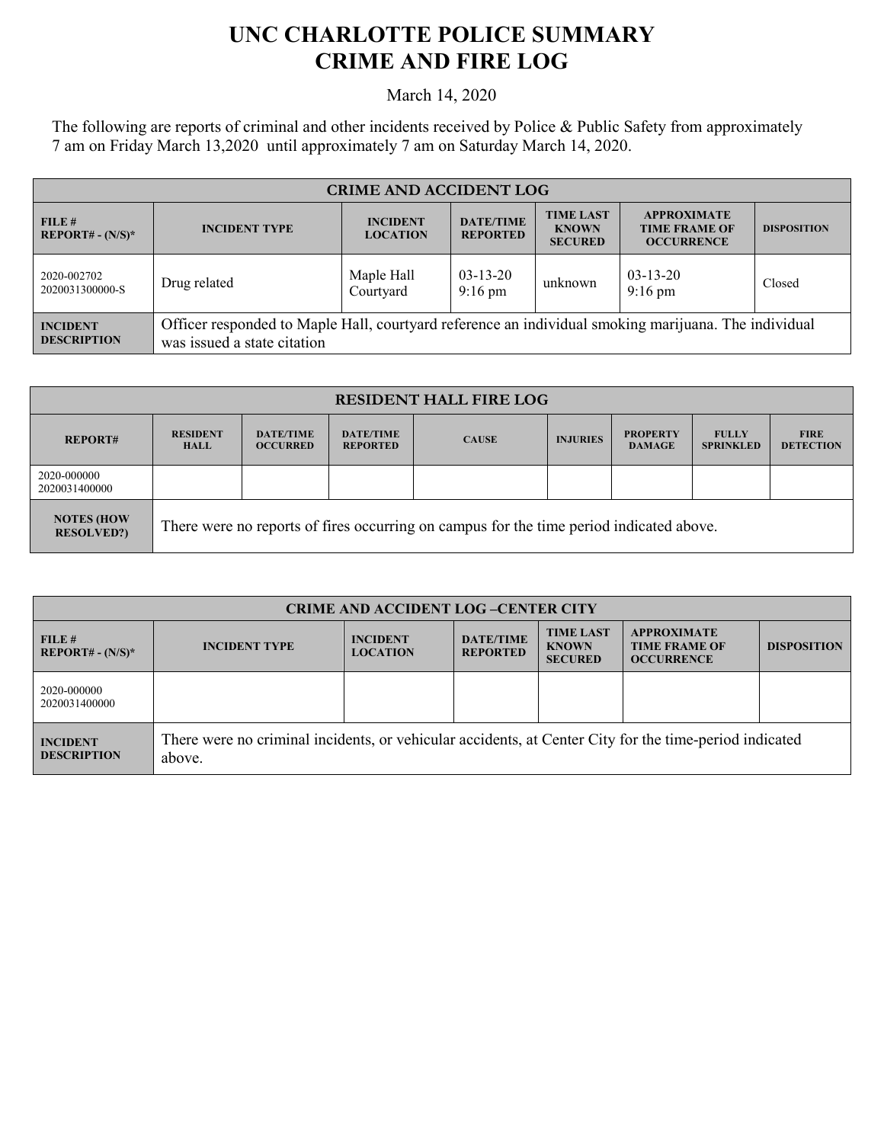## **UNC CHARLOTTE POLICE SUMMARY CRIME AND FIRE LOG**

March 14, 2020

The following are reports of criminal and other incidents received by Police & Public Safety from approximately 7 am on Friday March 13,2020 until approximately 7 am on Saturday March 14, 2020.

| <b>CRIME AND ACCIDENT LOG</b>         |                                                                                                                                     |                                    |                                     |                                                    |                                                                 |                    |  |
|---------------------------------------|-------------------------------------------------------------------------------------------------------------------------------------|------------------------------------|-------------------------------------|----------------------------------------------------|-----------------------------------------------------------------|--------------------|--|
| FILE#<br>$REPORT# - (N/S)*$           | <b>INCIDENT TYPE</b>                                                                                                                | <b>INCIDENT</b><br><b>LOCATION</b> | <b>DATE/TIME</b><br><b>REPORTED</b> | <b>TIME LAST</b><br><b>KNOWN</b><br><b>SECURED</b> | <b>APPROXIMATE</b><br><b>TIME FRAME OF</b><br><b>OCCURRENCE</b> | <b>DISPOSITION</b> |  |
| 2020-002702<br>2020031300000-S        | Drug related                                                                                                                        | Maple Hall<br>Courtyard            | $03-13-20$<br>$9:16 \text{ pm}$     | unknown                                            | $03-13-20$<br>$9:16 \text{ pm}$                                 | Closed             |  |
| <b>INCIDENT</b><br><b>DESCRIPTION</b> | Officer responded to Maple Hall, courtyard reference an individual smoking marijuana. The individual<br>was issued a state citation |                                    |                                     |                                                    |                                                                 |                    |  |

| <b>RESIDENT HALL FIRE LOG</b>          |                                                                                         |                                     |                                     |              |                 |                                  |                                  |                                 |
|----------------------------------------|-----------------------------------------------------------------------------------------|-------------------------------------|-------------------------------------|--------------|-----------------|----------------------------------|----------------------------------|---------------------------------|
| <b>REPORT#</b>                         | <b>RESIDENT</b><br><b>HALL</b>                                                          | <b>DATE/TIME</b><br><b>OCCURRED</b> | <b>DATE/TIME</b><br><b>REPORTED</b> | <b>CAUSE</b> | <b>INJURIES</b> | <b>PROPERTY</b><br><b>DAMAGE</b> | <b>FULLY</b><br><b>SPRINKLED</b> | <b>FIRE</b><br><b>DETECTION</b> |
| 2020-000000<br>2020031400000           |                                                                                         |                                     |                                     |              |                 |                                  |                                  |                                 |
| <b>NOTES (HOW</b><br><b>RESOLVED?)</b> | There were no reports of fires occurring on campus for the time period indicated above. |                                     |                                     |              |                 |                                  |                                  |                                 |

| <b>CRIME AND ACCIDENT LOG-CENTER CITY</b> |                                                                                                                  |                                    |                                     |                                                    |                                                                 |                    |  |
|-------------------------------------------|------------------------------------------------------------------------------------------------------------------|------------------------------------|-------------------------------------|----------------------------------------------------|-----------------------------------------------------------------|--------------------|--|
| FILE#<br>$REPORT# - (N/S)*$               | <b>INCIDENT TYPE</b>                                                                                             | <b>INCIDENT</b><br><b>LOCATION</b> | <b>DATE/TIME</b><br><b>REPORTED</b> | <b>TIME LAST</b><br><b>KNOWN</b><br><b>SECURED</b> | <b>APPROXIMATE</b><br><b>TIME FRAME OF</b><br><b>OCCURRENCE</b> | <b>DISPOSITION</b> |  |
| 2020-000000<br>2020031400000              |                                                                                                                  |                                    |                                     |                                                    |                                                                 |                    |  |
| <b>INCIDENT</b><br><b>DESCRIPTION</b>     | There were no criminal incidents, or vehicular accidents, at Center City for the time-period indicated<br>above. |                                    |                                     |                                                    |                                                                 |                    |  |